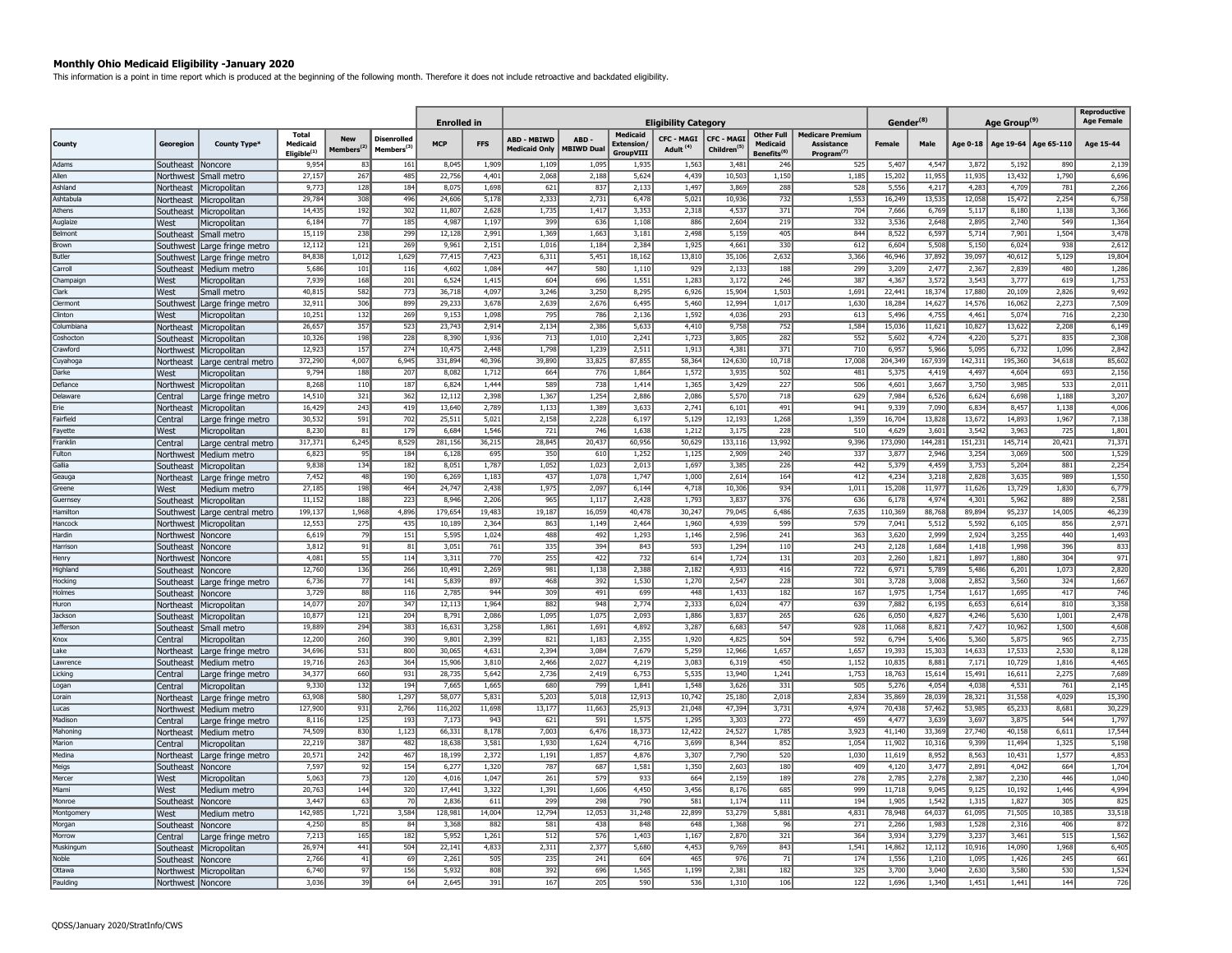**Monthly Ohio Medicaid Eligibility -January 2020**<br>This information is a point in time report which is produced at the beginning of the following month. Therefore it does not include retroactive and backdated eligibility.

|                     |                        |                                          |                                            |                                      |                                              | <b>Enrolled in</b> |                | Gender <sup>(8)</sup><br><b>Eligibility Category</b> |                           |                                           |                                           | Age Group <sup>(9)</sup>                     | Reproductive<br><b>Age Female</b>                        |                                                                 |                  |                 |                 |                  |                      |                 |
|---------------------|------------------------|------------------------------------------|--------------------------------------------|--------------------------------------|----------------------------------------------|--------------------|----------------|------------------------------------------------------|---------------------------|-------------------------------------------|-------------------------------------------|----------------------------------------------|----------------------------------------------------------|-----------------------------------------------------------------|------------------|-----------------|-----------------|------------------|----------------------|-----------------|
| County              | Georegion              | County Type*                             | <b>Total</b><br>Medicaid<br>Eligible $(1)$ | <b>New</b><br>Members <sup>(2)</sup> | <b>Disenrolled</b><br>Members <sup>(3)</sup> | <b>MCP</b>         | <b>FFS</b>     | <b>ARD - MRTWD</b><br><b>Medicaid Only</b>           | ARD-<br><b>MBIWD Dual</b> | Medicaid<br><b>Extension</b><br>GroupVIII | <b>CFC - MAGI</b><br>Adult <sup>(4)</sup> | <b>CFC - MAGI</b><br>Children <sup>(5)</sup> | <b>Other Full</b><br>Medicaid<br>Benefits <sup>(6)</sup> | <b>Medicare Premium</b><br>Assistance<br>Program <sup>(7)</sup> | <b>Female</b>    | Male            | Age 0-18        |                  | Age 19-64 Age 65-110 | Age 15-44       |
| Adams               | Southeast              | Noncore                                  | 9.95                                       | 83                                   | 161                                          | 8,045              | 1,909          | 1,109                                                | 1.09                      | 1.93                                      | 1,563                                     | 3,481                                        | 246                                                      | 525                                                             | 5.407            | 4.547           | 3.872           | 5.192            | 890                  | 2,139           |
| Allen               | Northwest              | Small metro                              | 27,157                                     | 767                                  | 485                                          | 22,756             | 4.401          | 2.068                                                | 2,188                     | 5,624                                     | 4,439                                     | 10,503                                       | 1,150                                                    | 1,185                                                           | 15,202           | 11,955          | 11,935          | 13,432           | 1,790                | 6,696           |
| Ashland             | Northeast              | Micropolitan                             | 9,773                                      | 128                                  | 184                                          | 8,075              | 1,698          | 621                                                  | 837                       | 2,133                                     | 1,497                                     | 3,869                                        | 288                                                      | 528                                                             | 5,556            | 4,217           | 4,283           | 4,709            | 781                  | 2,266           |
| Ashtabula           |                        | Northeast Micropolitan                   | 29,784                                     | 308                                  | 496                                          | 24,606             | 5.178          | 2.333                                                | 2,731                     | 6,478                                     | 5.021                                     | 10,936                                       | 732                                                      | 1,553                                                           | 16,249           | 13.535          | 12,058          | 15,472           | 2.254                | 6,758           |
| Athens              | Southeast              | Micropolitan                             | 14,435                                     | 192                                  | 302                                          | 11,807             | 2,628          | 1,735                                                | 1,417                     | 3,353                                     | 2,318                                     | 4,537                                        | 371                                                      | 704                                                             | 7,666            | 6,769           | 5,117           | 8,180            | 1,138                | 3,366           |
| Auglaize            | West                   | Micropolitan                             | 6,184                                      | 77                                   | 185                                          | 4,987              | 1,197          | 399                                                  | 636                       | 1,108                                     | 886                                       | 2,604                                        | 219                                                      | 332                                                             | 3,536            | 2,648           | 2,895           | 2,740            | 549                  | 1,364           |
| Belmont             | Southeast              | Small metro                              | 15,119                                     | 238                                  | 299                                          | 12,128             | 2,991          | 1,369                                                | 1,663                     | 3,181                                     | 2,498                                     | 5,159                                        | 405                                                      | 844                                                             | 8,522            | 6,597           | 5,714           | 7,901            | 1,504                | 3,478           |
| Brown               |                        | Southwest Large fringe metro             | 12,112                                     | 121                                  | 269                                          | 9,961              | 2,151          | 1,016                                                | 1,184                     | 2,384                                     | 1,925                                     | 4,661                                        | 330                                                      | 612                                                             | 6,604            | 5,508           | 5,150           | 6,024            | 938                  | 2,612           |
| Butler              |                        | Southwest Large fringe metro             | 84,838                                     | 1,012                                | 1,629                                        | 77,415             | 7.423          | 6,311                                                | 5,451                     | 18,162                                    | 13,810                                    | 35,106                                       | 2,632                                                    | 3,366                                                           | 46,946           | 37,892          | 39,097          | 40,612           | 5,129                | 19,804          |
| Carroll             | Southeast              | Medium metro                             | 5,686                                      | 101                                  | 116                                          | 4,602              | 1,084          | 447                                                  | 580                       | 1,110                                     | 929                                       | 2,133                                        | 188                                                      | 299                                                             | 3,209            | 2,477           | 2,367           | 2,839            | 480                  | 1,286           |
| Champaigr<br>Clark  | West                   | Micropolitan                             | 7,939<br>40,815                            | 168<br>582                           | 201<br>773                                   | 6,524<br>36,718    | 1,415<br>4,097 | 604<br>3,246                                         | 696<br>3,250              | 1,551<br>8,295                            | 1,283<br>6,926                            | 3,172<br>15,904                              | 246<br>1,503                                             | 387<br>1,691                                                    | 4,367<br>22,441  | 3,572<br>18,374 | 3,543<br>17,880 | 3,777<br>20,109  | 619<br>2,826         | 1,753           |
| Clermont            | West                   | Small metro                              | 32,911                                     | 306                                  | 899                                          | 29,233             | 3,678          | 2,639                                                | 2,676                     | 6,495                                     | 5,460                                     | 12,994                                       | 1,017                                                    | 1,630                                                           | 18,284           | 14,627          | 14,576          | 16,062           | 2,273                | 9,492<br>7,509  |
| Clinton             |                        | Southwest Large fringe metro             | 10,251                                     | 132                                  | 269                                          | 9,153              | 1,098          | 795                                                  | 786                       | 2,136                                     | 1,592                                     | 4,036                                        | 293                                                      | 613                                                             | 5,496            | 4,755           | 4,461           | 5,074            | 716                  | 2,230           |
| Columbiana          | West                   | Micropolitan                             | 26,657                                     | 357                                  | 523                                          | 23,743             | 2,914          | 2,134                                                | 2,386                     | 5,633                                     | 4,410                                     | 9,758                                        | 752                                                      | 1,584                                                           | 15,036           | 11,621          | 10,827          | 13,622           | 2,208                | 6,149           |
| Coshocton           | Northeast<br>Southeast | Micropolitan                             | 10,326                                     | 198                                  | 228                                          | 8,390              | 1,936          | 713                                                  | 1,010                     | 2,241                                     | 1,723                                     | 3,805                                        | 282                                                      | 552                                                             | 5,602            | 4,724           | 4,220           | 5,271            | 835                  | 2,308           |
| Crawford            |                        | Micropolitan<br>Northwest   Micropolitan | 12,923                                     | 157                                  | 274                                          | 10,475             | 2,448          | 1,798                                                | 1,239                     | 2,511                                     | 1,913                                     | 4,381                                        | 371                                                      | 710                                                             | 6,957            | 5,966           | 5,095           | 6,732            | 1,096                | 2,842           |
| Cuvahoga            | Northeast              | Large central metro                      | 372,290                                    | 4,007                                | 6,945                                        | 331,894            | 40,396         | 39,890                                               | 33,825                    | 87,855                                    | 58,364                                    | 124,630                                      | 10,718                                                   | 17,008                                                          | 204,349          | 167,939         | 142,311         | 195,360          | 34,618               | 85,602          |
| Darke               | <b>West</b>            | Micropolitan                             | 9,794                                      | 188                                  | 207                                          | 8,082              | 1,712          | 664                                                  | 776                       | 1,864                                     | 1,572                                     | 3,935                                        | 502                                                      | 481                                                             | 5,375            | 4,419           | 4,497           | 4,604            | 693                  | 2,156           |
| Defiance            | Northwest              | Micropolitan                             | 8,268                                      | 110                                  | 187                                          | 6,824              | 1,444          | 589                                                  | 738                       | 1,414                                     | 1,365                                     | 3,429                                        | 227                                                      | 506                                                             | 4,601            | 3,667           | 3,750           | 3,985            | 533                  | 2,011           |
| Delaware            | Central                | Large fringe metro                       | 14,510                                     | 321                                  | 362                                          | 12,112             | 2,398          | 1,367                                                | 1,254                     | 2,886                                     | 2,086                                     | 5,570                                        | 718                                                      | 629                                                             | 7,984            | 6,526           | 6,624           | 6,698            | 1,188                | 3,207           |
| Erie                | Northeast              | Micropolitan                             | 16,429                                     | 243                                  | 419                                          | 13,640             | 2,789          | 1,133                                                | 1,389                     | 3,633                                     | 2,741                                     | 6,101                                        | 491                                                      | 941                                                             | 9,339            | 7,090           | 6,834           | 8,457            | 1,138                | 4,006           |
| Fairfield           | Central                | Large fringe metro                       | 30,532                                     | 591                                  | 702                                          | 25,511             | 5,021          | 2,158                                                | 2,228                     | 6,197                                     | 5,129                                     | 12,193                                       | 1,268                                                    | 1,359                                                           | 16,704           | 13,828          | 13,672          | 14,893           | 1,967                | 7,138           |
| Fayette             | West                   | Micropolitan                             | 8,230                                      | 81                                   | 179                                          | 6,684              | 1,546          | 721                                                  | 746                       | 1,638                                     | 1,212                                     | 3,175                                        | 228                                                      | 510                                                             | 4,629            | 3,601           | 3,542           | 3,963            | 725                  | 1,801           |
| Franklin            | Central                | Large central metro                      | 317,371                                    | 6,245                                | 8,529                                        | 281,156            | 36,215         | 28,845                                               | 20,437                    | 60,956                                    | 50,629                                    | 133,116                                      | 13,992                                                   | 9,396                                                           | 173,090          | 144,281         | 151,231         | 145,714          | 20,421               | 71,371          |
| Fulton              | Northwest              | Medium metro                             | 6,823                                      | 95                                   | 184                                          | 6,128              | 695            | 350                                                  | 610                       | 1,252                                     | 1,125                                     | 2,909                                        | 240                                                      | 337                                                             | 3,87             | 2,946           | 3,254           | 3,069            | 500                  | 1,529           |
| Gallia              |                        | Southeast   Micropolitan                 | 9,838                                      | 134                                  | 182                                          | 8,051              | 1,787          | 1,052                                                | 1,023                     | 2,013                                     | 1,697                                     | 3,385                                        | 226                                                      | 442                                                             | 5,379            | 4,459           | 3,753           | 5,204            | 881                  | 2,254           |
| Geauga              | Northeast              | Large fringe metro                       | 7,452                                      | 48                                   | 190                                          | 6,269              | 1,183          | 437                                                  | 1,078                     | 1,747                                     | 1,000                                     | 2,614                                        | 164                                                      | 412                                                             | 4,234            | 3,218           | 2,828           | 3,635            | 989                  | 1,550           |
| Greene              | West                   | Medium metro                             | 27,185                                     | 198                                  | 464                                          | 24,747             | 2,438          | 1,975                                                | 2,097                     | 6,144                                     | 4,718                                     | 10,306                                       | 934                                                      | 1,011                                                           | 15,208           | 11,977          | 11,626          | 13,729           | 1,830                | 6,779           |
| Guernsey            | Southeast              | Micropolitan                             | 11,152                                     | 188                                  | 223                                          | 8,946              | 2,206          | 965                                                  | 1,117                     | 2,428                                     | 1,793                                     | 3,837                                        | 376                                                      | 636                                                             | 6,178            | 4,974           | 4,301           | 5,962            | 889                  | 2,581           |
| Hamilton            |                        | Southwest Large central metro            | 199,137                                    | 1,968                                | 4,896                                        | 179,654            | 19,483         | 19,187                                               | 16,059                    | 40,478                                    | 30,247                                    | 79,045                                       | 6,486                                                    | 7,635                                                           | 110,369          | 88,768          | 89,894          | 95,237           | 14,005               | 46,239          |
| Hancock             |                        | Northwest   Micropolitan                 | 12,553                                     | 275                                  | 435                                          | 10.189             | 2.364          | 863                                                  | 1.149                     | 2.464                                     | 1,960                                     | 4,939                                        | 599                                                      | 579                                                             | 7,041            | 5,512           | 5,592           | 6,105            | 856                  | 2,971           |
| Hardin              | Northwest              | Noncore                                  | 6,619                                      | 79                                   | 151                                          | 5,595              | 1,024          | 488                                                  | 492                       | 1,293                                     | 1,146                                     | 2,596                                        | 241                                                      | 363                                                             | 3,620            | 2,999           | 2,924           | 3,255            | 440                  | 1,493           |
| Harrisor            | Southeast              | Noncore                                  | 3,812                                      | 91                                   | 81                                           | 3,051              | 761            | 335                                                  | 394                       | 843                                       | 593                                       | 1,294                                        | 110                                                      | 243                                                             | 2,128            | 1,684           | 1,418           | 1,998            | 396                  | 833             |
| Henry               | Northwest              | Noncore                                  | 4,081                                      | 55                                   | 114                                          | 3,311              | 770            | 255                                                  | 422                       | 732                                       | 614                                       | 1,724                                        | 131                                                      | 203                                                             | 2,260            | 1,821           | 1,897           | 1,880            | 304                  | 971             |
| Highland            | Southeast Noncore      |                                          | 12,760                                     | 136                                  | 266                                          | 10,491             | 2,269          | 981                                                  | 1,138                     | 2,388                                     | 2,182                                     | 4,933                                        | 416                                                      | 722                                                             | 6,971            | 5,789           | 5,486           | 6,201            | 1,073                | 2,820           |
| Hocking             | Southeast              | Large fringe metro                       | 6,736                                      | 77                                   | 141                                          | 5,839              | 897            | 468                                                  | 392                       | 1,530                                     | 1,270                                     | 2,547                                        | 228                                                      | 301                                                             | 3,728            | 3,008           | 2,852           | 3,560            | 324                  | 1,667           |
| Holmes              | Southeast              | Noncore                                  | 3,729                                      | 88                                   | 116                                          | 2,785              | 944            | 309                                                  | 491                       | 699                                       | 448                                       | 1,433                                        | 182                                                      | 167                                                             | 1,975            | 1,754           | 1,617           | 1,695            | 417                  | 746             |
| Huron               | Northeast              | Micropolitan                             | 14.077                                     | 207                                  | 347                                          | 12,113             | 1.964          | 882                                                  | 948                       | 2,774                                     | 2,333                                     | 6,024                                        | 477                                                      | 639                                                             | 7,882            | 6,195           | 6,653           | 6,614            | 810                  | 3,358           |
| Jackson             | Southeast              | Micropolitan                             | 10,877                                     | 121                                  | 204                                          | 8,791              | 2,086          | 1,095                                                | 1,075                     | 2,093                                     | 1,886                                     | 3,837                                        | 265                                                      | 626                                                             | 6,050            | 4,827           | 4,246           | 5,630            | 1,001                | 2,478           |
| lefferson           | Southeast              | Small metro                              | 19,889                                     | 294                                  | 383                                          | 16,631             | 3,258          | 1,861                                                | 1,691                     | 4,892                                     | 3,287                                     | 6,683                                        | 547                                                      | 928                                                             | 11,068           | 8,821           | 7,427           | 10,962           | 1,500                | 4,608           |
| Knox                | Central                | Micropolitan                             | 12,200                                     | 260                                  | 390                                          | 9,801              | 2,399          | 821                                                  | 1,183                     | 2,355                                     | 1,920                                     | 4,825                                        | 504                                                      | 592                                                             | 6,794            | 5,406           | 5,360           | 5,875            | 965                  | 2,735           |
| Lake                | Northeast              | Large fringe metro                       | 34,696                                     | 531                                  | 800                                          | 30,065             | 4,631          | 2,394                                                | 3,084                     | 7,679                                     | 5,259                                     | 12,966                                       | 1,657                                                    | 1,657                                                           | 19,393           | 15,303          | 14,633          | 17,533           | 2,530                | 8,128           |
| Lawrence            | Southeast              | Medium metro                             | 19,716                                     | 263                                  | 364                                          | 15,906             | 3,810          | 2,466                                                | 2,027                     | 4,219                                     | 3,083                                     | 6,319                                        | 450                                                      | 1,152                                                           | 10,835           | 8,881           | 7,171           | 10,729           | 1,816                | 4,465           |
| Licking             | Central                | Large fringe metro                       | 34,377                                     | 660<br>132                           | 931<br>194                                   | 28,735             | 5,642<br>1.665 | 2,736<br>680                                         | 2,419<br>799              | 6,753                                     | 5,535<br>1.548                            | 13,940                                       | 1,241<br>331                                             | 1,753<br>505                                                    | 18,763           | 15,614          | 15,491          | 16,611           | 2,275                | 7,689           |
| Logan               | Central                | Micropolitan                             | 9,330                                      |                                      |                                              | 7,665              |                |                                                      |                           | 1,841                                     |                                           | 3,626                                        |                                                          |                                                                 | 5,276            | 4,054           | 4,038           | 4,531            | 761                  | 2,145           |
| Lorain              | Northeast              | Large fringe metro                       | 63,908                                     | 580<br>931                           | 1,297                                        | 58,077             | 5,831          | 5,203                                                | 5,018                     | 12,913                                    | 10,742                                    | 25,180                                       | 2,018                                                    | 2,834                                                           | 35,869           | 28,039          | 28,321          | 31,558           | 4,029<br>8.681       | 15,390          |
| Lucas               | Northwest              | Medium metro                             | 127,900                                    |                                      | 2,766                                        | 116,202            | 11,698         | 13,177                                               | 11,663                    | 25,913                                    | 21,048                                    | 47,394                                       | 3,731                                                    | 4,974                                                           | 70,438           | 57,462          | 53,985          | 65,233           |                      | 30,229          |
| Madison<br>Mahoning | Central                | Large fringe metro                       | 8,116<br>74,509                            | 125<br>830                           | 193                                          | 7,173<br>66,331    | 943<br>8,178   | 621<br>7,003                                         | 591<br>6,476              | 1,575                                     | 1,295                                     | 3,303<br>24,527                              | 272<br>1,785                                             | 459<br>3,923                                                    | 4,47             | 3,639<br>33,369 | 3,697<br>27,740 | 3,875            | 544<br>6,611         | 1,79            |
| Marion              | Northeast              | Medium metro                             | 22,219                                     | 387                                  | 1,123<br>482                                 | 18,638             | 3,581          | 1,930                                                | 1,624                     | 18,373<br>4,716                           | 12,422<br>3,699                           | 8,344                                        | 852                                                      | 1,05                                                            | 41,140<br>11,902 | 10,316          | 9,399           | 40,158<br>11,494 | 1,325                | 17,544<br>5,198 |
| Medina              | Central                | Micropolitan                             | 20,571                                     | 242                                  | 467                                          | 18,199             | 2,372          | 1,191                                                | 1,857                     | 4,876                                     | 3,307                                     | 7,790                                        | 520                                                      | 1,030                                                           | 11,619           | 8,952           | 8,563           | 10,431           | 1,577                | 4,853           |
|                     | Northeast              | Large fringe metro                       | 7,597                                      | 92                                   | 154                                          | 6,277              | 1,320          | 787                                                  | 687                       | 1,581                                     | 1,350                                     | 2,603                                        | 180                                                      | 409                                                             |                  | 3,477           | 2,891           | 4,042            | 664                  | 1,704           |
| Meigs<br>Mercer     | Southeast<br>West      | Noncore<br>Micropolitan                  | 5,063                                      | 73                                   | 120                                          | 4,016              | 1,047          | 261                                                  | 579                       | 933                                       | 664                                       | 2,159                                        | 189                                                      | 278                                                             | 4,120<br>2,785   | 2,278           | 2,387           | 2,230            | 446                  | 1,040           |
| Miami               | West                   | Medium metro                             | 20,763                                     | 144                                  | 320                                          | 17,441             | 3,322          | 1,391                                                | 1,606                     | 4,450                                     | 3,456                                     | 8,176                                        | 685                                                      | 999                                                             | 11,718           | 9,045           | 9,125           | 10,192           | 1,446                | 4,994           |
| Monroe              | Southeast              | Noncore                                  | 3,447                                      | 63                                   | 70                                           | 2,836              | 611            | 299                                                  | 298                       | 790                                       | 581                                       | 1,174                                        | 111                                                      | 194                                                             | 1,905            | 1,542           | 1,315           | 1,827            | 305                  | 825             |
| Montgomery          | West                   | Medium metro                             | 142,985                                    | 1,721                                | 3,584                                        | 128,981            | 14,004         | 12,794                                               | 12,053                    | 31,248                                    | 22,899                                    | 53,279                                       | 5,881                                                    | 4,831                                                           | 78,948           | 64,037          | 61,095          | 71,505           | 10,385               | 33,518          |
| Morgan              | Southeast              | Noncore                                  | 4,250                                      | 85                                   | 84                                           | 3,368              | 882            | 581                                                  | 438                       | 848                                       | $-648$                                    | 1,368                                        | 96                                                       | 271                                                             | 2,266            | 1,983           | 1,528           | 2,316            | 406                  | 872             |
| Morrow              | Central                | Large fringe metro                       | 7,213                                      | 165                                  | 182                                          | 5,952              | 1,261          | 512                                                  | 576                       | 1,403                                     | 1,167                                     | 2,870                                        | 321                                                      | 364                                                             | 3,934            | 3,279           | 3,237           | 3,461            | 515                  | 1,562           |
| Muskingum           | Southeast              | Micropolitan                             | 26,974                                     | 441                                  | 504                                          | 22,141             | 4,833          | 2,311                                                | 2,377                     | 5,680                                     | 4,453                                     | 9,769                                        | 843                                                      | 1,541                                                           | 14,862           | 12,112          | 10,916          | 14,090           | 1,968                | 6,405           |
| Noble               | Southeast              | Noncore                                  | 2,766                                      | 41                                   | 69                                           | 2,261              | 505            | 235                                                  | 241                       | 604                                       | 465                                       | 976                                          | 71                                                       | 174                                                             | 1,556            | 1,210           | 1,095           | 1,426            | 245                  | 661             |
| Ottawa              |                        | Northwest   Micropolitan                 | 6,740                                      | 97                                   | 156                                          | 5,932              | 808            | 392                                                  | 696                       | 1,565                                     | 1,199                                     | 2,381                                        | 182                                                      | 325                                                             | 3,700            | 3,040           | 2,630           | 3,580            | 530                  | 1,524           |
| Paulding            | Northwest Noncore      |                                          | 3,036                                      | 39                                   | 64                                           | 2,645              | 391            | 167                                                  | 205                       | 590                                       | 536                                       | 1,310                                        | 106                                                      | 122                                                             | 1,696            | 1,340           | 1,451           | 1,441            | 144                  | 726             |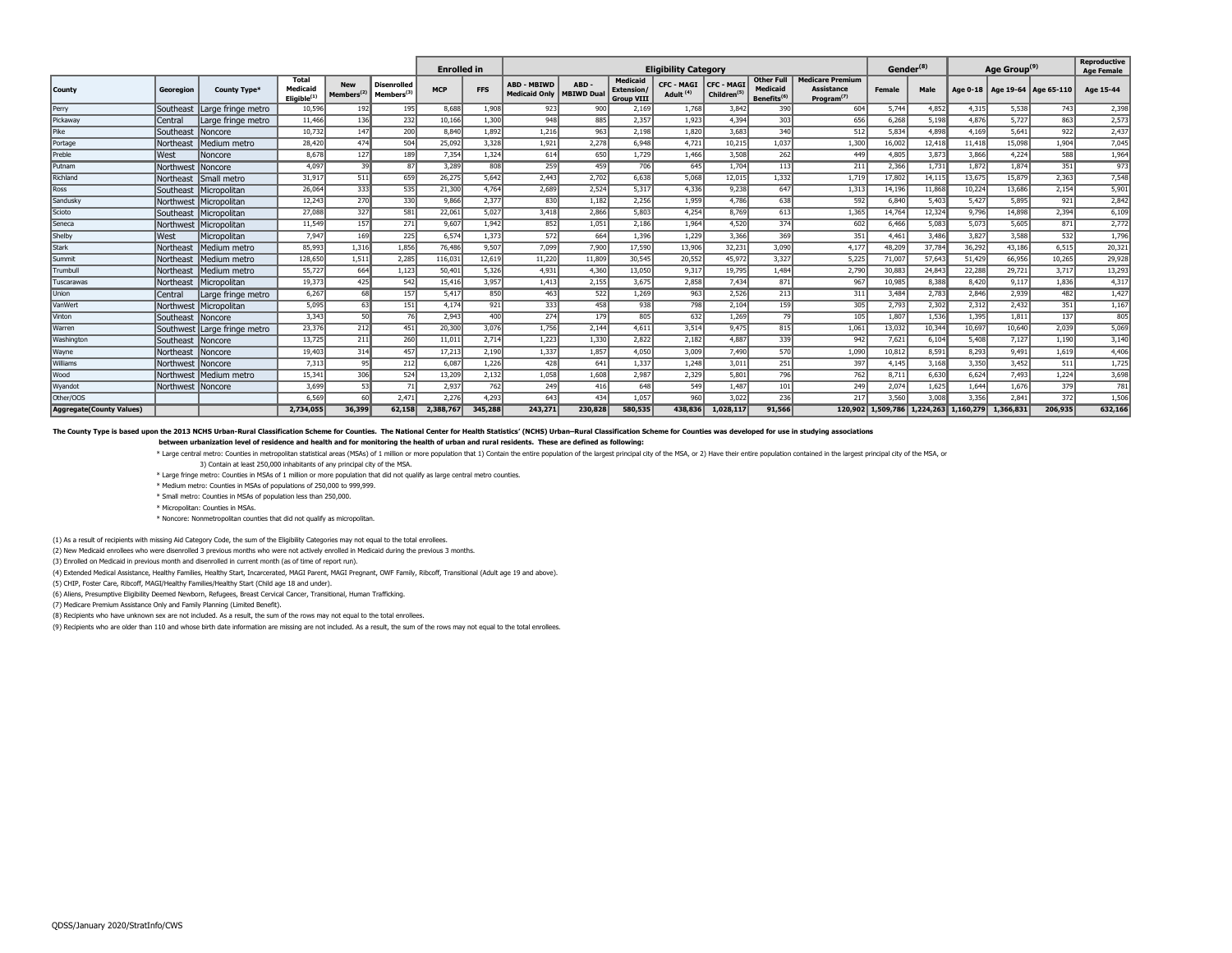|                                  |                     |                              |                                               |                                                   |                                              | <b>Enrolled</b> in |            |                                            |                           |                                                   | <b>Eligibility Category</b>               |                                       |                                                                 |                                                                        | Gender <sup>(8)</sup>                 |        | Age Group <sup>(9)</sup> |           |                                   | Reproductive<br><b>Age Female</b> |
|----------------------------------|---------------------|------------------------------|-----------------------------------------------|---------------------------------------------------|----------------------------------------------|--------------------|------------|--------------------------------------------|---------------------------|---------------------------------------------------|-------------------------------------------|---------------------------------------|-----------------------------------------------------------------|------------------------------------------------------------------------|---------------------------------------|--------|--------------------------|-----------|-----------------------------------|-----------------------------------|
| County                           | Georegion           | County Type*                 | <b>Total</b><br>Medicaid<br>$E$ ligible $(1)$ | <b>New</b><br>Members <sup><math>(2)</math></sup> | <b>Disenrolled</b><br>Members <sup>(3)</sup> | <b>MCP</b>         | <b>FFS</b> | <b>ABD - MBIWD</b><br><b>Medicaid Only</b> | ABD-<br><b>MBIWD Dual</b> | Medicaid<br><b>Extension</b><br><b>Group VIII</b> | <b>CFC - MAGI</b><br>Adult <sup>(4)</sup> | CFC - MAGI<br>Children <sup>(5)</sup> | <b>Other Full</b><br><b>Medicaid</b><br>Benefits <sup>(6)</sup> | <b>Medicare Premium</b><br><b>Assistance</b><br>Program <sup>(7)</sup> | <b>Female</b>                         | Male   |                          |           | Age 0-18   Age 19-64   Age 65-110 | Age 15-44                         |
| Perry                            | Southeast           | Large fringe metro           | 10,596                                        | 192                                               | 195                                          | 8,688              | 1,908      | 923                                        | 900                       | 2,169                                             | 1,768                                     | 3,842                                 | 390                                                             | 604                                                                    | 5,744                                 | 4,852  | 4,315                    | 5,538     | 743                               | 2,398                             |
| Pickaway                         | Central             | Large fringe metro           | 11,466                                        | 136                                               | 232                                          | 10,166             | 1,300      | 948                                        | 885                       | 2,357                                             | 1,923                                     | 4,394                                 | 303                                                             | 656                                                                    | 6,268                                 | 5,198  | 4,876                    | 5,727     | 863                               | 2,573                             |
| Pike                             | Southeast Noncore   |                              | 10,732                                        | 147                                               | 200                                          | 8,840              | 1,892      | 1,216                                      | 963                       | 2,198                                             | 1,820                                     | 3,683                                 | 340                                                             | 512                                                                    | 5,834                                 | 4,898  | 4,169                    | 5,641     | 922                               | 2,437                             |
| Portage                          |                     | Northeast Medium metro       | 28,420                                        | 474                                               | 504                                          | 25,092             | 3,328      | 1,921                                      | 2,278                     | 6,948                                             | 4,721                                     | 10,215                                | 1,037                                                           | 1,300                                                                  | 16,002                                | 12,418 | 11,418                   | 15,098    | 1,904                             | 7,045                             |
| Preble                           | <b>Nest</b>         | <i>Noncore</i>               | 8,678                                         | 127                                               | 189                                          | 7,354              | 1,324      | 614                                        | 650                       | 1,729                                             | 1,466                                     | 3,508                                 | 262                                                             | 449                                                                    | 4,805                                 | 3,873  | 3,866                    | 4,224     | 588                               | 1,964                             |
| Putnam                           | Northwest           | <b>Noncore</b>               | 4,097                                         | 39                                                | 87                                           | 3,289              | 808        | 259                                        | 459                       | 706                                               | 645                                       | 1,704                                 | 113                                                             | 211                                                                    | 2,366                                 | 1,731  | 1,872                    | 1,874     | 351                               | 973                               |
| Richland                         |                     | Northeast Small metro        | 31,917                                        | 511                                               | 659                                          | 26,275             | 5,642      | 2,443                                      | 2,702                     | 6,638                                             | 5,068                                     | 12,015                                | 1,332                                                           | 1,719                                                                  | 17,802                                | 14,115 | 13,675                   | 15,879    | 2,363                             | 7,548                             |
| Ross                             |                     | Southeast Micropolitan       | 26,064                                        | 333                                               | 535                                          | 21,300             | 4,764      | 2,689                                      | 2,524                     | 5,317                                             | 4,336                                     | 9,238                                 | 647                                                             | 1,313                                                                  | 14,196                                | 11,868 | 10,224                   | 13,686    | 2,154                             | 5,901                             |
| Sandusky                         |                     | Northwest Micropolitan       | 12,243                                        | 270                                               | 330                                          | 9,866              | 2,377      | 830                                        | 1,182                     | 2,256                                             | 1,959                                     | 4,786                                 | 638                                                             | 592                                                                    | 6,840                                 | 5,403  | 5,427                    | 5,895     | 921                               | 2,842                             |
| Scioto                           |                     | Southeast Micropolitan       | 27,088                                        | 327                                               | 581                                          | 22,061             | 5,027      | 3,418                                      | 2,866                     | 5,803                                             | 4,254                                     | 8,769                                 | 613                                                             | 1,365                                                                  | 14,764                                | 12,324 | 9,796                    | 14,898    | 2,394                             | 6,109                             |
| Seneca                           |                     | Northwest Micropolitan       | 11,549                                        | 157                                               | 271                                          | 9,607              | 1,942      | 852                                        | 1,051                     | 2,186                                             | 1,964                                     | 4,520                                 | 374                                                             | 602                                                                    | 6,466                                 | 5,083  | 5,073                    | 5,605     | 871                               | 2,772                             |
| Shelby                           | <b>West</b>         | Micropolitan                 | 7,947                                         | 169                                               | 225                                          | 6,574              | 1,373      | 572                                        | 664                       | 1,396                                             | 1,229                                     | 3,366                                 | 369                                                             | 351                                                                    | 4,461                                 | 3,486  | 3,827                    | 3,588     | 532                               | 1,796                             |
| Stark                            |                     | Northeast Medium metro       | 85,993                                        | 1,316                                             | 1,856                                        | 76,486             | 9,507      | 7,099                                      | 7,900                     | 17,590                                            | 13,906                                    | 32,231                                | 3,090                                                           | 4,177                                                                  | 48,209                                | 37,784 | 36,292                   | 43,186    | 6,515                             | 20,321                            |
| Summit                           |                     | Northeast Medium metro       | 128,650                                       | 1,511                                             | 2,285                                        | 116,031            | 12,619     | 11,220                                     | 11,809                    | 30,545                                            | 20,552                                    | 45,972                                | 3,327                                                           | 5,225                                                                  | 71,007                                | 57,643 | 51,429                   | 66,956    | 10,265                            | 29,928                            |
| Trumbull                         |                     | Northeast Medium metro       | 55,727                                        | 664                                               | 1,123                                        | 50,401             | 5,326      | 4,931                                      | 4,360                     | 13,050                                            | 9,317                                     | 19,795                                | 1,484                                                           | 2,790                                                                  | 30,883                                | 24,843 | 22,288                   | 29,721    | 3,717                             | 13,293                            |
| Tuscarawas                       |                     | Northeast Micropolitan       | 19,373                                        | 425                                               | 542                                          | 15,416             | 3,957      | 1,413                                      | 2,155                     | 3,675                                             | 2,858                                     | 7,434                                 | 871                                                             | 967                                                                    | 10,985                                | 8,388  | 8,420                    | 9,117     | 1,836                             | 4,317                             |
| Union                            | Central             | Large fringe metro           | 6,267                                         | 68                                                | 157                                          | 5,417              | 850        | 463                                        | 522                       | 1,269                                             | 963                                       | 2,526                                 | 213                                                             | 311                                                                    | 3,484                                 | 2,783  | 2,846                    | 2,939     | 482                               | 1,427                             |
| VanWert                          |                     | Northwest Micropolitan       | 5,095                                         | 63                                                | 151                                          | 4,174              | 921        | 333                                        | 458                       | 938                                               | 798                                       | 2,104                                 | 159                                                             | 305                                                                    | 2,793                                 | 2,302  | 2,312                    | 2,432     | 351                               | 1,167                             |
| Vinton                           | Southeast Noncore   |                              | 3,343                                         | 50                                                | <b>76</b>                                    | 2,943              | 400        | 274                                        | 179                       | 805                                               | 632                                       | 1,269                                 | 79                                                              | 105                                                                    | 1,807                                 | 1,536  | 1,395                    | 1,811     | 137                               | 805                               |
| Warren                           |                     | Southwest Large fringe metro | 23,376                                        | 212                                               | 451                                          | 20,300             | 3,076      | 1,756                                      | 2,144                     | 4,611                                             | 3,514                                     | 9,475                                 | 815                                                             | 1,061                                                                  | 13,032                                | 10,344 | 10,697                   | 10,640    | 2,039                             | 5,069                             |
| Washington                       | Southeast   Noncore |                              | 13,725                                        | 211                                               | 260                                          | 11,011             | 2,714      | 1,223                                      | 1,330                     | 2,822                                             | 2,182                                     | 4,887                                 | 339                                                             | 942                                                                    | 7,621                                 | 6,104  | 5,408                    | 7,127     | 1,190                             | 3,140                             |
| Wayne                            | Northeast Noncore   |                              | 19,403                                        | 314                                               | 457                                          | 17,213             | 2,190      | 1,337                                      | 1,857                     | 4,050                                             | 3,009                                     | 7,490                                 | 570                                                             | 1,090                                                                  | 10,812                                | 8,591  | 8,293                    | 9,491     | 1,619                             | 4,406                             |
| Williams                         | Northwest Noncore   |                              | 7,313                                         | 95                                                | 212                                          | 6,087              | 1,226      | 428                                        | 641                       | 1,337                                             | 1,248                                     | 3,011                                 | 251                                                             | 397                                                                    | 4,145                                 | 3,168  | 3,350                    | 3,452     | 511                               | 1,725                             |
| Wood                             |                     | Northwest Medium metro       | 15,341                                        | 306                                               | 524                                          | 13,209             | 2,132      | 1,058                                      | 1,608                     | 2,987                                             | 2,329                                     | 5,801                                 | 796                                                             | 762                                                                    | 8,711                                 | 6,630  | 6,624                    | 7,493     | 1,224                             | 3,698                             |
| Wyandot                          | Northwest Noncore   |                              | 3,699                                         | 53                                                | <b>71</b>                                    | 2,937              | 762        | 249                                        | 416                       | 648                                               | 549                                       | 1,487                                 | 101                                                             | 249                                                                    | 2,074                                 | 1,625  | 1,644                    | 1,676     | 379                               | 781                               |
| Other/OOS                        |                     |                              | 6,569                                         | 60                                                | 2,471                                        | 2,276              | 4,293      | 643                                        | 434                       | 1,057                                             | 960                                       | 3,022                                 | 236                                                             | 217                                                                    | 3,560                                 | 3,008  | 3,356                    | 2,841     | 372                               | 1,506                             |
| <b>Aggregate (County Values)</b> |                     |                              | 2,734,055                                     | 36,399                                            | 62,158                                       | 2,388,767          | 345,288    | 243,271                                    | 230,828                   | 580,535                                           | 438,836                                   | 1,028,117                             | 91,566                                                          |                                                                        | 120,902 1,509,786 1,224,263 1,160,279 |        |                          | 1,366,831 | 206,935                           | 632,166                           |

## The County Type is based upon the 2013 NCHS Urban-Rural Classification Scheme for Counties. The National Center for Health Statistics' (NCHS) Urban-Rural Classification Scheme for Counties was developed for use in studying

 **between urbanization level of residence and health and for monitoring the health of urban and rural residents. These are defined as following:**

\* Large central metro: Counties in metropolitan statistical areas (MSAs) of 1 million or more population that 1) Contain the entire population of the largest principal city of the MSA, or 2) Have their entire population co

3) Contain at least 250,000 inhabitants of any principal city of the MSA.

\* Large fringe metro: Counties in MSAs of 1 million or more population that did not qualify as large central metro counties.

\* Medium metro: Counties in MSAs of populations of 250,000 to 999,999.

\* Small metro: Counties in MSAs of population less than 250,000.

\* Micropolitan: Counties in MSAs.

\* Noncore: Nonmetropolitan counties that did not qualify as micropolitan.

(1) As a result of recipients with missing Aid Category Code, the sum of the Eligibility Categories may not equal to the total enrollees.

(2) New Medicaid enrollees who were disenrolled 3 previous months who were not actively enrolled in Medicaid during the previous 3 months.

(3) Enrolled on Medicaid in previous month and disenrolled in current month (as of time of report run).

(4) Extended Medical Assistance, Healthy Families, Healthy Start, Incarcerated, MAGI Parent, MAGI Pregnant, OWF Family, Ribcoff, Transitional (Adult age 19 and above).

(5) CHIP, Foster Care, Ribcoff, MAGI/Healthy Families/Healthy Start (Child age 18 and under).

(6) Aliens, Presumptive Eligibility Deemed Newborn, Refugees, Breast Cervical Cancer, Transitional, Human Trafficking.

(7) Medicare Premium Assistance Only and Family Planning (Limited Benefit).

(8) Recipients who have unknown sex are not included. As a result, the sum of the rows may not equal to the total enrollees.

(9) Recipients who are older than 110 and whose birth date information are missing are not included. As a result, the sum of the rows may not equal to the total enrollees.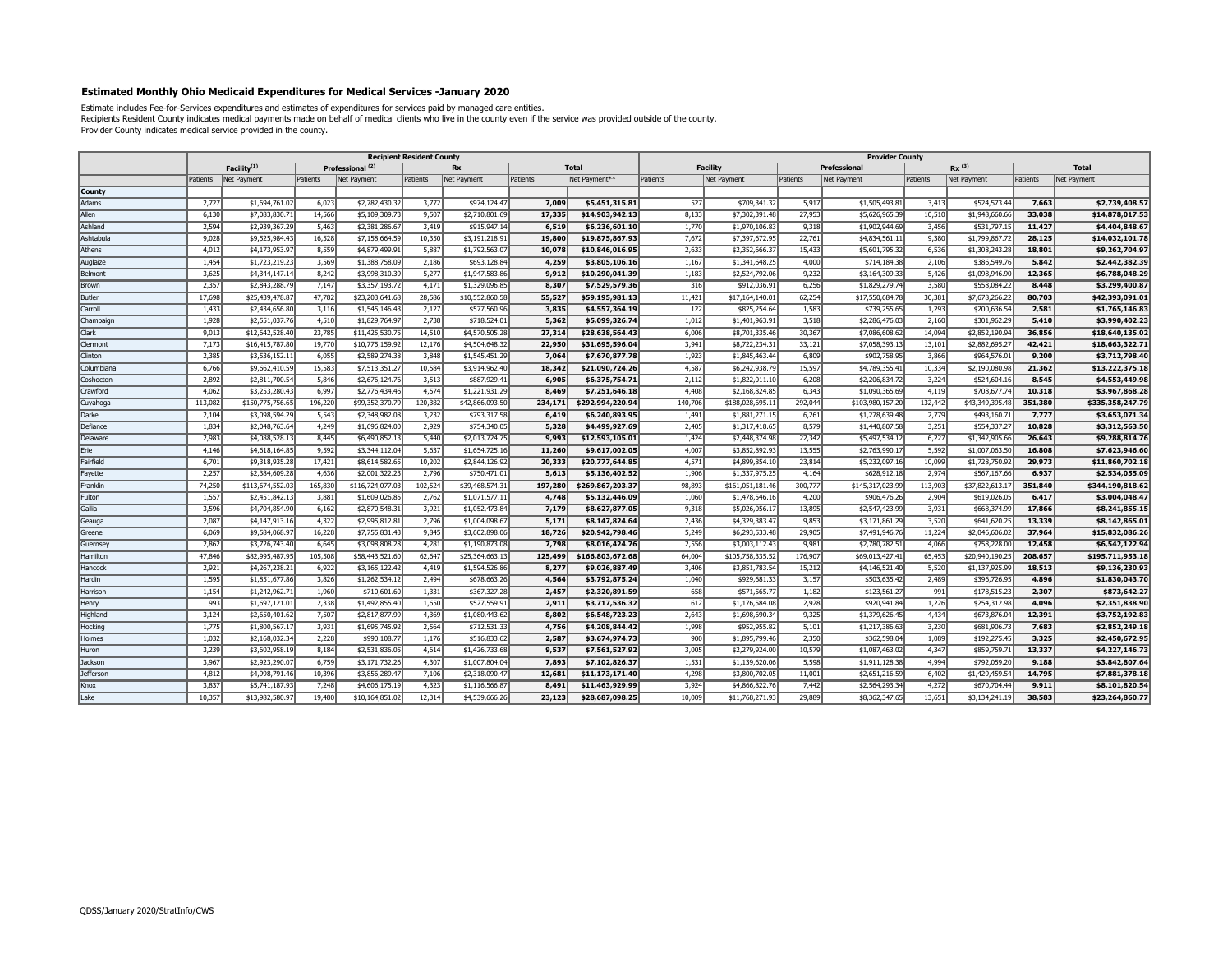## **Estimated Monthly Ohio Medicaid Expenditures for Medical Services -January 2020**

Recipients Resident County indicates medical payments made on behalf of medical clients who live in the county even if the service was provided outside of the county. Provider County indicates medical service provided in the county. Estimate includes Fee-for-Services expenditures and estimates of expenditures for services paid by managed care entities.

|            | <b>Recipient Resident County</b> |                         |          |                             |          |                 |          |                  |          | <b>Provider County</b> |          |                     |          |                 |          |                  |  |  |  |
|------------|----------------------------------|-------------------------|----------|-----------------------------|----------|-----------------|----------|------------------|----------|------------------------|----------|---------------------|----------|-----------------|----------|------------------|--|--|--|
|            |                                  | Facility <sup>(1)</sup> |          | Professional <sup>(2)</sup> |          | Rx              |          | <b>Total</b>     |          | <b>Facility</b>        |          | <b>Professional</b> |          | $Rx^{(3)}$      |          | <b>Total</b>     |  |  |  |
|            | Patients                         | Net Payment             | Patients | Net Payment                 | Patients | Net Payment     | Patients | Net Payment**    | Patients | Net Payment            | Patients | Net Payment         | Patients | Net Payment     | Patients | Net Payment      |  |  |  |
| County     |                                  |                         |          |                             |          |                 |          |                  |          |                        |          |                     |          |                 |          |                  |  |  |  |
| Adams      | 2,727                            | \$1,694,761.02          | 6,023    | \$2,782,430.3               | 3,772    | \$974,124.47    | 7,009    | \$5,451,315.81   | 527      | \$709,341.32           | 5,917    | \$1,505,493.8       | 3,413    | \$524,573.44    | 7,663    | \$2,739,408.57   |  |  |  |
| Allen      | 6,130                            | \$7,083,830.7           | 14,566   | \$5,109,309.7               | 9,50     | \$2,710,801.69  | 17,335   | \$14,903,942.13  | 8,133    | \$7,302,391.48         | 27,953   | \$5,626,965.3       | 10,510   | \$1,948,660.66  | 33,038   | \$14,878,017.53  |  |  |  |
| Ashland    | 2,594                            | \$2,939,367.29          | 5,463    | \$2,381,286.6               | 3,419    | \$915,947.14    | 6,519    | \$6,236,601.10   | 1,770    | \$1,970,106.83         | 9,318    | \$1,902,944.69      | 3,456    | \$531,797.15    | 11,427   | \$4,404,848.67   |  |  |  |
| Ashtabula  | 9,028                            | \$9,525,984.43          | 16,528   | \$7,158,664.59              | 10,350   | \$3,191,218.91  | 19,800   | \$19,875,867.93  | 7,672    | \$7,397,672.95         | 22,761   | \$4,834,561.11      | 9,380    | \$1,799,867.72  | 28.125   | \$14,032,101.78  |  |  |  |
| Athens     | 4,012                            | \$4,173,953.97          | 8,559    | \$4,879,499.91              | 5,88     | \$1,792,563.07  | 10,078   | \$10,846,016.95  | 2,633    | \$2,352,666.37         | 15,433   | \$5,601,795.32      | 6,536    | \$1,308,243.28  | 18,801   | \$9,262,704.97   |  |  |  |
| Auglaize   | 1,454                            | \$1,723,219.23          | 3,569    | \$1,388,758.09              | 2,186    | \$693,128.84    | 4,259    | \$3,805,106.16   | 1,167    | \$1,341,648.25         | 4,000    | \$714,184.3         | 2,106    | \$386,549.76    | 5,842    | \$2,442,382.39   |  |  |  |
| Belmont    | 3,625                            | \$4,344,147.14          | 8,242    | \$3,998,310.3               | 5,27     | \$1,947,583.86  | 9,912    | \$10,290,041.39  | 1,183    | \$2,524,792.06         | 9,232    | \$3,164,309.3       | 5,426    | \$1,098,946.90  | 12,365   | \$6,788,048.29   |  |  |  |
| Brown      | 2,357                            | \$2,843,288.79          | 7,147    | \$3,357,193.72              | 4,171    | \$1,329,096.85  | 8,307    | \$7,529,579.36   | 316      | \$912,036.91           | 6,256    | \$1,829,279.74      | 3,580    | \$558,084.22    | 8,448    | \$3,299,400.87   |  |  |  |
| Butler     | 17,698                           | \$25,439,478.87         | 47,782   | \$23,203,641.68             | 28,586   | \$10,552,860.58 | 55,527   | \$59,195,981.13  | 11,421   | \$17,164,140.01        | 62,254   | \$17,550,684.7      | 30,381   | \$7,678,266.22  | 80,703   | \$42,393,091.01  |  |  |  |
| Carroll    | 1,433                            | \$2,434,656.80          | 3,116    | \$1,545,146.4               | 2,127    | \$577,560.96    | 3,835    | \$4,557,364.19   | 122      | \$825,254.64           | 1,583    | \$739,255.65        | 1,293    | \$200,636.54    | 2,581    | \$1,765,146.83   |  |  |  |
| Champaigr  | 1,928                            | \$2,551,037.76          | 4,510    | \$1,829,764.9               | 2,738    | \$718,524.01    | 5,362    | \$5,099,326.74   | 1,012    | \$1,401,963.91         | 3,518    | \$2,286,476.0       | 2,160    | \$301,962.29    | 5.410    | \$3,990,402.23   |  |  |  |
| Clark      | 9,013                            | \$12,642,528.40         | 23,785   | \$11,425,530.7              | 14,510   | \$4,570,505.28  | 27,314   | \$28,638,564.43  | 6,006    | \$8,701,335.46         | 30,367   | \$7,086,608.6       | 14,094   | \$2,852,190.94  | 36,856   | \$18,640,135.02  |  |  |  |
| Clermont   | 7,173                            | \$16,415,787.80         | 19,770   | \$10,775,159.9              | 12,176   | \$4,504,648.32  | 22,950   | \$31,695,596.04  | 3,941    | \$8,722,234.31         | 33,121   | \$7,058,393.1       | 13,101   | \$2,882,695.27  | 42,421   | \$18,663,322.71  |  |  |  |
| Clinton    | 2,385                            | \$3,536,152.11          | 6,055    | \$2,589,274.38              | 3,848    | \$1,545,451.29  | 7,064    | \$7,670,877.78   | 1,923    | \$1,845,463.44         | 6,809    | \$902,758.95        | 3,866    | \$964,576.01    | 9,200    | \$3,712,798.40   |  |  |  |
| Columbiana | 6,766                            | \$9,662,410.59          | 15,583   | \$7,513,351.2               | 10,584   | \$3,914,962.40  | 18,342   | \$21,090,724.26  | 4,587    | \$6,242,938.79         | 15,597   | \$4,789,355.4       | 10,334   | \$2,190,080.98  | 21,362   | \$13,222,375.18  |  |  |  |
| Coshocton  | 2,892                            | \$2,811,700.54          | 5,846    | \$2,676,124.7               | 3,513    | \$887,929.41    | 6,905    | \$6,375,754.71   | 2,112    | \$1,822,011.10         | 6,208    | \$2,206,834.7       | 3,224    | \$524,604.16    | 8,545    | \$4,553,449.98   |  |  |  |
| Crawford   | 4,062                            | \$3,253,280.43          | 6,997    | \$2,776,434.4               | 4,57     | \$1,221,931.29  | 8,469    | \$7,251,646.18   | 4,408    | \$2,168,824.85         | 6,343    | \$1,090,365.6       | 4,119    | \$708,677.74    | 10,318   | \$3,967,868.28   |  |  |  |
| Cuyahoga   | 113,082                          | \$150,775,756.65        | 196,220  | \$99,352,370.79             | 120,382  | \$42,866,093.50 | 234,171  | \$292,994,220.94 | 140,706  | \$188,028,695.11       | 292,044  | \$103,980,157.20    | 132,442  | \$43,349,395.48 | 351,380  | \$335,358,247.79 |  |  |  |
| Darke      | 2,104                            | \$3,098,594.29          | 5,543    | \$2,348,982.0               | 3,232    | \$793,317.58    | 6,419    | \$6,240,893.95   | 1,491    | \$1,881,271.15         | 6,261    | \$1,278,639.4       | 2,779    | \$493,160.71    | 7,777    | \$3,653,071.34   |  |  |  |
| Defiance   | 1,834                            | \$2,048,763.64          | 4,249    | \$1,696,824.0               | 2,929    | \$754,340.05    | 5,328    | \$4,499,927.69   | 2,405    | \$1,317,418.65         | 8,579    | \$1,440,807.58      | 3,251    | \$554,337.27    | 10,828   | \$3,312,563.50   |  |  |  |
| Delaware   | 2,983                            | \$4,088,528.13          | 8,445    | \$6,490,852.1               | 5,440    | \$2,013,724.75  | 9,993    | \$12,593,105.01  | 1,424    | \$2,448,374.98         | 22,342   | \$5,497,534.1       | 6,227    | \$1,342,905.66  | 26,643   | \$9,288,814.76   |  |  |  |
| Erie       | 4,146                            | \$4,618,164.85          | 9,592    | \$3,344,112.0               | 5,63     | \$1,654,725.16  | 11,260   | \$9,617,002.05   | 4,007    | \$3,852,892.93         | 13,555   | \$2,763,990.1       | 5,592    | \$1,007,063.50  | 16,808   | \$7,623,946.60   |  |  |  |
| Fairfield  | 6,701                            | \$9,318,935.28          | 17,421   | \$8,614,582.65              | 10,202   | \$2,844,126.92  | 20,333   | \$20,777,644.85  | 4,571    | \$4,899,854.10         | 23,814   | \$5,232,097.16      | 10,099   | \$1,728,750.92  | 29,973   | \$11,860,702.18  |  |  |  |
| Fayette    | 2,257                            | \$2,384,609.28          | 4,636    | \$2,001,322.23              | 2,796    | \$750,471.01    | 5,613    | \$5,136,402.52   | 1,906    | \$1,337,975.25         | 4,164    | \$628,912.1         | 2,974    | \$567,167.66    | 6,937    | \$2,534,055.09   |  |  |  |
| Franklin   | 74,250                           | \$113,674,552.03        | 165,830  | \$116,724,077.0             | 102,524  | \$39,468,574.31 | 197,280  | \$269,867,203.37 | 98,893   | \$161,051,181.46       | 300,777  | \$145,317,023.99    | 113,903  | \$37,822,613.17 | 351,840  | \$344,190,818.62 |  |  |  |
| Fulton     | 1,557                            | \$2,451,842.13          | 3,881    | \$1,609,026.8               | 2,762    | \$1,071,577.11  | 4,748    | \$5,132,446.09   | 1,060    | \$1,478,546.16         | 4,200    | \$906,476.2         | 2,904    | \$619,026.05    | 6,417    | \$3,004,048.47   |  |  |  |
| Gallia     | 3,596                            | \$4,704,854.90          | 6,162    | \$2,870,548.31              | 3,921    | \$1,052,473.84  | 7,179    | \$8,627,877.05   | 9,318    | \$5,026,056.17         | 13,895   | \$2,547,423.99      | 3,931    | \$668,374.99    | 17,866   | \$8,241,855.15   |  |  |  |
| Geauga     | 2,087                            | \$4,147,913.16          | 4,322    | \$2,995,812.81              | 2,796    | \$1,004,098.67  | 5,171    | \$8,147,824.64   | 2,436    | \$4,329,383.47         | 9,853    | \$3,171,861.29      | 3,520    | \$641,620.25    | 13,339   | \$8,142,865.01   |  |  |  |
| Greene     | 6,069                            | \$9,584,068.97          | 16,228   | \$7,755,831.43              | 9,845    | \$3,602,898.06  | 18,726   | \$20,942,798.46  | 5,249    | \$6,293,533.48         | 29,905   | \$7,491,946.7       | 11,224   | \$2,046,606.02  | 37,964   | \$15,832,086.26  |  |  |  |
| Guernsey   | 2,862                            | \$3,726,743.40          | 6,645    | \$3,098,808.2               | 4,281    | \$1,190,873.08  | 7,798    | \$8,016,424.76   | 2,556    | \$3,003,112.43         | 9,981    | \$2,780,782.5       | 4,066    | \$758,228.00    | 12,458   | \$6,542,122.94   |  |  |  |
| Hamilton   | 47,846                           | \$82,995,487.95         | 105,508  | \$58,443,521.6              | 62,64    | \$25,364,663.13 | 125,499  | \$166,803,672.68 | 64,004   | \$105,758,335.52       | 176,907  | \$69,013,427.4      | 65,453   | \$20,940,190.25 | 208,657  | \$195,711,953.18 |  |  |  |
| Hancock    | 2,921                            | \$4,267,238.21          | 6,922    | \$3,165,122.4               | 4,419    | \$1,594,526.86  | 8,277    | \$9,026,887.49   | 3,406    | \$3,851,783.54         | 15,212   | \$4,146,521.40      | 5,520    | \$1,137,925.99  | 18,513   | \$9,136,230.93   |  |  |  |
| Hardin     | 1,595                            | \$1,851,677.86          | 3,826    | \$1,262,534.12              | 2,494    | \$678,663.26    | 4,564    | \$3,792,875.24   | 1,040    | \$929,681.33           | 3,157    | \$503,635.42        | 2,489    | \$396,726.95    | 4,896    | \$1,830,043.70   |  |  |  |
| Harrison   | 1,154                            | \$1,242,962.71          | 1,960    | \$710,601.60                | 1,331    | \$367,327.28    | 2,457    | \$2,320,891.59   | 658      | \$571,565.77           | 1,182    | \$123,561.2         | 991      | \$178,515.23    | 2,307    | \$873,642.27     |  |  |  |
| Henry      | 993                              | \$1,697,121.01          | 2,338    | \$1,492,855.40              | 1,650    | \$527,559.91    | 2,911    | \$3,717,536.32   | 612      | \$1,176,584.08         | 2,928    | \$920,941.84        | 1,226    | \$254,312.98    | 4,096    | \$2,351,838.90   |  |  |  |
| Highland   | 3,124                            | \$2,650,401.62          | 7,507    | \$2,817,877.99              | 4,369    | \$1,080,443.62  | 8,802    | \$6,548,723.23   | 2,643    | \$1,698,690.34         | 9,325    | \$1,379,626.4       | 4,434    | \$673,876.04    | 12,391   | \$3,752,192.83   |  |  |  |
| Hocking    | 1,775                            | \$1,800,567.17          | 3,931    | \$1,695,745.92              | 2,564    | \$712,531.33    | 4,756    | \$4,208,844.42   | 1,998    | \$952,955.82           | 5,101    | \$1,217,386.63      | 3,230    | \$681,906.73    | 7,683    | \$2,852,249.18   |  |  |  |
| Holmes     | 1,032                            | \$2,168,032.34          | 2,228    | \$990,108.77                | 1,176    | \$516,833.62    | 2,587    | \$3,674,974.73   | 900      | \$1,895,799.46         | 2,350    | \$362,598.04        | 1,089    | \$192,275.45    | 3,325    | \$2,450,672.95   |  |  |  |
| Huron      | 3,239                            | \$3,602,958.19          | 8,184    | \$2,531,836.05              | 4,614    | \$1,426,733.68  | 9,537    | \$7,561,527.92   | 3,005    | \$2,279,924.00         | 10,579   | \$1,087,463.0       | 4,347    | \$859,759.71    | 13,337   | \$4,227,146.73   |  |  |  |
| Jackson    | 3,967                            | \$2,923,290.0           | 6,759    | \$3,171,732.2               | 4,30     | \$1,007,804.04  | 7,893    | \$7,102,826.37   | 1,531    | \$1,139,620.06         | 5,598    | \$1,911,128.38      | 4,994    | \$792,059.20    | 9,188    | \$3,842,807.64   |  |  |  |
| Jefferson  | 4,812                            | \$4,998,791.46          | 10,396   | \$3,856,289.4               | 7,106    | \$2,318,090.47  | 12,681   | \$11,173,171.40  | 4,298    | \$3,800,702.05         | 11,001   | \$2,651,216.5       | 6,402    | \$1,429,459.54  | 14,795   | \$7,881,378.18   |  |  |  |
| Knox       | 3,837                            | \$5,741,187.93          | 7,248    | \$4,606,175.1               | 4,32     | \$1,116,566.87  | 8,491    | \$11,463,929.99  | 3,924    | \$4,866,822.76         | 7,442    | \$2,564,293.34      | 4,272    | \$670,704.44    | 9,911    | \$8,101,820.54   |  |  |  |
| Lake       | 10.357                           | \$13,982,580.97         | 19,480   | \$10,164,851.02             | 12,314   | \$4,539,666.26  | 23.123   | \$28,687,098.25  | 10,009   | \$11,768,271.93        | 29,889   | \$8,362,347.65      | 13,651   | \$3,134,241.19  | 38,583   | \$23,264,860.77  |  |  |  |